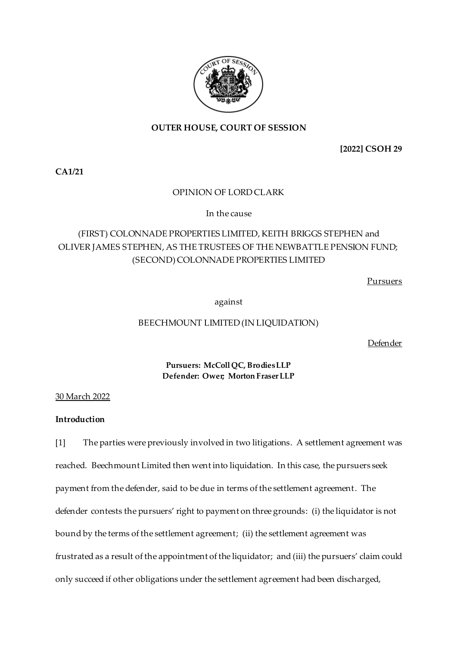

### **OUTER HOUSE, COURT OF SESSION**

**[2022] CSOH 29**

**CA1/21**

### OPINION OF LORD CLARK

In the cause

## (FIRST) COLONNADE PROPERTIES LIMITED, KEITH BRIGGS STEPHEN and OLIVER JAMES STEPHEN, AS THE TRUSTEES OF THE NEWBATTLE PENSION FUND; (SECOND) COLONNADE PROPERTIES LIMITED

Pursuers

against

### BEECHMOUNT LIMITED (IN LIQUIDATION)

Defender

**Pursuers: McColl QC, Brodies LLP Defender: Ower; Morton Fraser LLP**

30 March 2022

### **Introduction**

[1] The parties were previously involved in two litigations. A settlement agreement was reached. Beechmount Limited then went into liquidation. In this case, the pursuers seek payment from the defender, said to be due in terms of the settlement agreement. The defender contests the pursuers' right to payment on three grounds: (i) the liquidator is not bound by the terms of the settlement agreement; (ii) the settlement agreement was frustrated as a result of the appointment of the liquidator; and (iii) the pursuers' claim could only succeed if other obligations under the settlement agreement had been discharged,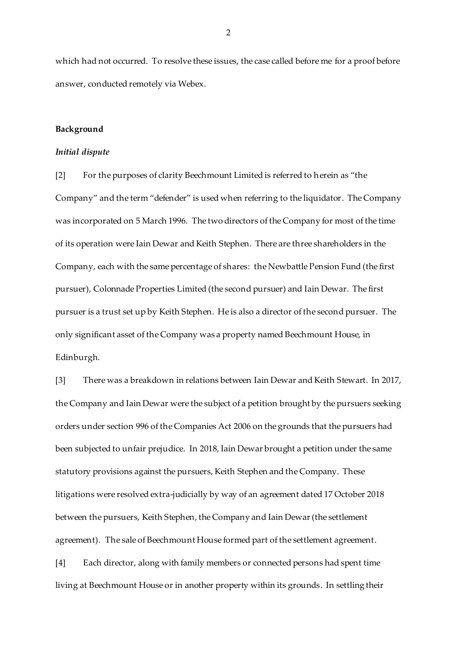which had not occurred. To resolve these issues, the case called before me for a proof before answer, conducted remotely via Webex.

#### **Background**

#### *Initial dispute*

[2] For the purposes of clarity Beechmount Limited is referred to herein as "the Company" and the term "defender" is used when referring to the liquidator. The Company was incorporated on 5 March 1996. The two directors of the Company for most of the time of its operation were Iain Dewar and Keith Stephen. There are three shareholders in the Company, each with the same percentage of shares: the Newbattle Pension Fund (the first pursuer), Colonnade Properties Limited (the second pursuer) and Iain Dewar. The first pursuer is a trust set up by Keith Stephen. He is also a director of the second pursuer. The only significant asset of the Company was a property named Beechmount House, in Edinburgh.

[3] There was a breakdown in relations between Iain Dewar and Keith Stewart. In 2017, the Company and Iain Dewar were the subject of a petition brought by the pursuers seeking orders under section 996 of the Companies Act 2006 on the grounds that the pursuers had been subjected to unfair prejudice. In 2018, Iain Dewar brought a petition under the same statutory provisions against the pursuers, Keith Stephen and the Company. These litigations were resolved extra-judicially by way of an agreement dated 17 October 2018 between the pursuers, Keith Stephen, the Company and Iain Dewar(the settlement agreement). The sale of Beechmount House formed part of the settlement agreement.

[4] Each director, along with family members or connected persons had spent time living at Beechmount House or in another property within its grounds. In settling their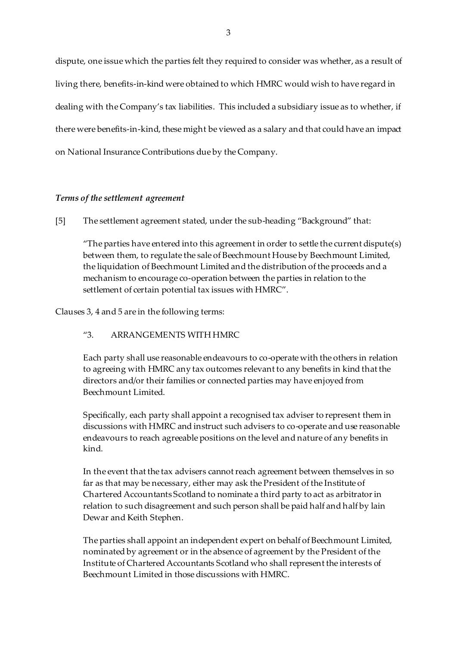dispute, one issue which the parties felt they required to consider was whether, as a result of living there, benefits-in-kind were obtained to which HMRC would wish to have regard in dealing with the Company's tax liabilities. This included a subsidiary issue as to whether, if there were benefits-in-kind, these might be viewed as a salary and that could have an impact on National Insurance Contributions due by the Company.

### *Terms of the settlement agreement*

[5] The settlement agreement stated, under the sub-heading "Background" that:

"The parties have entered into this agreement in order to settle the current dispute(s) between them, to regulate the sale of Beechmount House by Beechmount Limited, the liquidation of Beechmount Limited and the distribution of the proceeds and a mechanism to encourage co-operation between the parties in relation to the settlement of certain potential tax issues with HMRC".

Clauses 3, 4 and 5 are in the following terms:

### "3. ARRANGEMENTS WITH HMRC

Each party shall use reasonable endeavours to co-operate with the others in relation to agreeing with HMRC any tax outcomes relevant to any benefits in kind that the directors and/or their families or connected parties may have enjoyed from Beechmount Limited.

Specifically, each party shall appoint a recognised tax adviser to represent them in discussions with HMRC and instruct such advisers to co-operate and use reasonable endeavours to reach agreeable positions on the level and nature of any benefits in kind.

In the event that the tax advisers cannot reach agreement between themselves in so far as that may be necessary, either may ask the President of the Institute of Chartered Accountants Scotland to nominate a third party to act as arbitrator in relation to such disagreement and such person shall be paid half and half by lain Dewar and Keith Stephen.

The parties shall appoint an independent expert on behalf of Beechmount Limited, nominated by agreement or in the absence of agreement by the President of the Institute of Chartered Accountants Scotland who shall represent the interests of Beechmount Limited in those discussions with HMRC.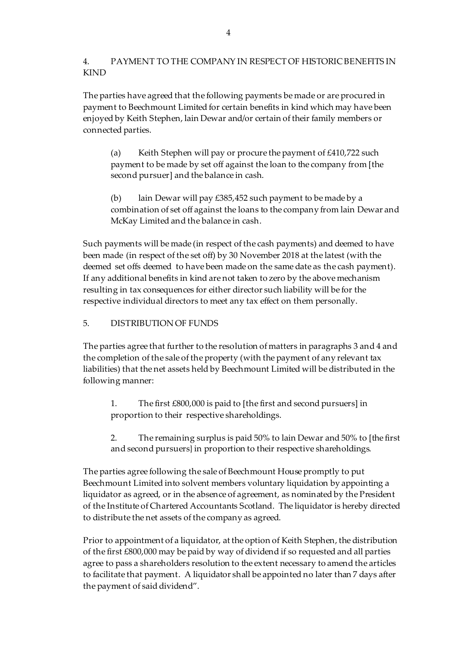### 4. PAYMENT TO THE COMPANY IN RESPECT OF HISTORIC BENEFITS IN KIND

The parties have agreed that the following payments be made or are procured in payment to Beechmount Limited for certain benefits in kind which may have been enjoyed by Keith Stephen, lain Dewar and/or certain of their family members or connected parties.

(a) Keith Stephen will pay or procure the payment of £410,722 such payment to be made by set off against the loan to the company from [the second pursuer] and the balance in cash.

(b) lain Dewar will pay  $£385,452$  such payment to be made by a combination of set off against the loans to the company from lain Dewar and McKay Limited and the balance in cash.

Such payments will be made (in respect of the cash payments) and deemed to have been made (in respect of the set off) by 30 November 2018 at the latest (with the deemed set offs deemed to have been made on the same date as the cash payment). If any additional benefits in kind are not taken to zero by the above mechanism resulting in tax consequences for either director such liability will be for the respective individual directors to meet any tax effect on them personally.

### 5. DISTRIBUTION OF FUNDS

The parties agree that further to the resolution of matters in paragraphs 3 and 4 and the completion of the sale of the property (with the payment of any relevant tax liabilities) that the net assets held by Beechmount Limited will be distributed in the following manner:

1. The first £800,000 is paid to [the first and second pursuers] in proportion to their respective shareholdings.

2. The remaining surplus is paid 50% to lain Dewar and 50% to [the first and second pursuers} in proportion to their respective shareholdings.

The parties agree following the sale of Beechmount House promptly to put Beechmount Limited into solvent members voluntary liquidation by appointing a liquidator as agreed, or in the absence of agreement, as nominated by the President of the Institute of Chartered Accountants Scotland. The liquidator is hereby directed to distribute the net assets of the company as agreed.

Prior to appointment of a liquidator, at the option of Keith Stephen, the distribution of the first £800,000 may be paid by way of dividend if so requested and all parties agree to pass a shareholders resolution to the extent necessary to amend the articles to facilitate that payment. A liquidator shall be appointed no later than 7 days after the payment of said dividend".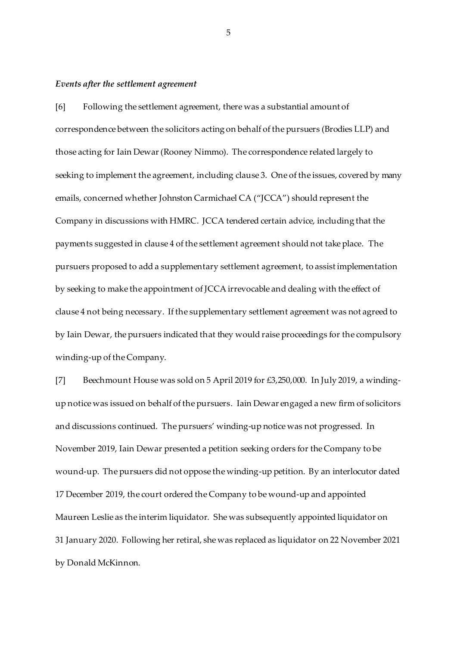#### *Events after the settlement agreement*

[6] Following the settlement agreement, there was a substantial amount of correspondence between the solicitors acting on behalf of the pursuers (Brodies LLP) and those acting for Iain Dewar(Rooney Nimmo). The correspondence related largely to seeking to implement the agreement, including clause 3. One of the issues, covered by many emails, concerned whether Johnston Carmichael CA ("JCCA") should represent the Company in discussions with HMRC. JCCA tendered certain advice, including that the payments suggested in clause 4 of the settlement agreement should not take place. The pursuers proposed to add a supplementary settlement agreement, to assist implementation by seeking to make the appointment of JCCA irrevocable and dealing with the effect of clause 4 not being necessary. If the supplementary settlement agreement was not agreed to by Iain Dewar, the pursuers indicated that they would raise proceedings for the compulsory winding-up of the Company.

[7] Beechmount House was sold on 5 April 2019 for £3,250,000. In July 2019, a windingup notice was issued on behalf of the pursuers. Iain Dewar engaged a new firm of solicitors and discussions continued. The pursuers' winding-up notice was not progressed. In November 2019, Iain Dewar presented a petition seeking orders for the Company to be wound-up. The pursuers did not oppose the winding-up petition. By an interlocutor dated 17 December 2019, the court ordered the Company to be wound-up and appointed Maureen Leslie as the interim liquidator. She was subsequently appointed liquidator on 31 January 2020. Following her retiral, she was replaced as liquidator on 22 November 2021 by Donald McKinnon.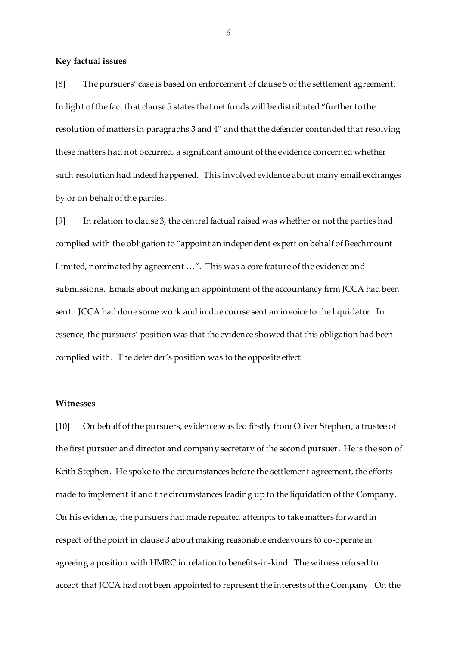#### **Key factual issues**

[8] The pursuers' case is based on enforcement of clause 5 of the settlement agreement. In light of the fact that clause 5 states that net funds will be distributed "further to the resolution of matters in paragraphs 3 and 4" and that the defender contended that resolving these matters had not occurred, a significant amount of the evidence concerned whether such resolution had indeed happened. This involved evidence about many email exchanges by or on behalf of the parties.

[9] In relation to clause 3, the central factual raised was whether or not the parties had complied with the obligation to "appoint an independent expert on behalf of Beechmount Limited, nominated by agreement …". This was a core feature of the evidence and submissions. Emails about making an appointment of the accountancy firm JCCA had been sent. JCCA had done some work and in due course sent an invoice to the liquidator. In essence, the pursuers' position was that the evidence showed that this obligation had been complied with. The defender's position was to the opposite effect.

#### **Witnesses**

[10] On behalf of the pursuers, evidence was led firstly from Oliver Stephen, a trustee of the first pursuer and director and company secretary of the second pursuer. He is the son of Keith Stephen. He spoke to the circumstances before the settlement agreement, the efforts made to implement it and the circumstances leading up to the liquidation of the Company. On his evidence, the pursuers had made repeated attempts to take matters forward in respect of the point in clause 3 about making reasonable endeavours to co-operate in agreeing a position with HMRC in relation to benefits-in-kind. The witness refused to accept that JCCA had not been appointed to represent the interests of the Company. On the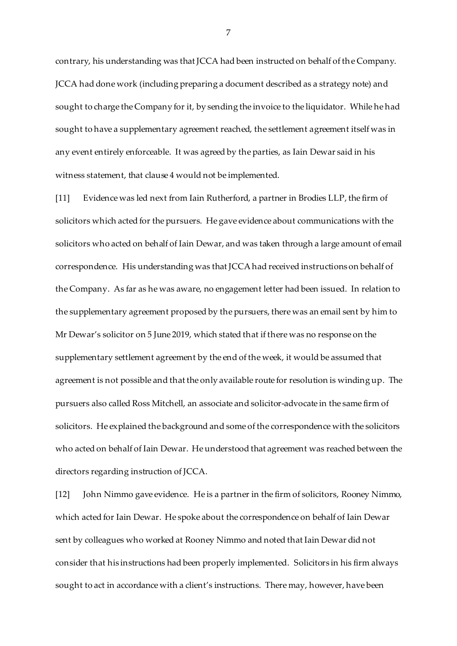contrary, his understanding was that JCCA had been instructed on behalf of the Company. JCCA had done work (including preparing a document described as a strategy note) and sought to charge the Company for it, by sending the invoice to the liquidator. While he had sought to have a supplementary agreement reached, the settlement agreement itself was in any event entirely enforceable. It was agreed by the parties, as Iain Dewar said in his witness statement, that clause 4 would not be implemented.

[11] Evidence was led next from Iain Rutherford, a partner in Brodies LLP, the firm of solicitors which acted for the pursuers. He gave evidence about communications with the solicitors who acted on behalf of Iain Dewar, and was taken through a large amount of email correspondence. His understanding was that JCCA had received instructions on behalf of the Company. As far as he was aware, no engagement letter had been issued. In relation to the supplementary agreement proposed by the pursuers, there was an email sent by him to Mr Dewar's solicitor on 5 June 2019, which stated that if there was no response on the supplementary settlement agreement by the end of the week, it would be assumed that agreement is not possible and that the only available route for resolution is winding up. The pursuers also called Ross Mitchell, an associate and solicitor-advocate in the same firm of solicitors. He explained the background and some of the correspondence with the solicitors who acted on behalf of Iain Dewar. He understood that agreement was reached between the directors regarding instruction of JCCA.

[12] John Nimmo gave evidence. He is a partner in the firm of solicitors, Rooney Nimmo, which acted for Iain Dewar. He spoke about the correspondence on behalf of Iain Dewar sent by colleagues who worked at Rooney Nimmo and noted that Iain Dewar did not consider that his instructions had been properly implemented. Solicitors in his firm always sought to act in accordance with a client's instructions. There may, however, have been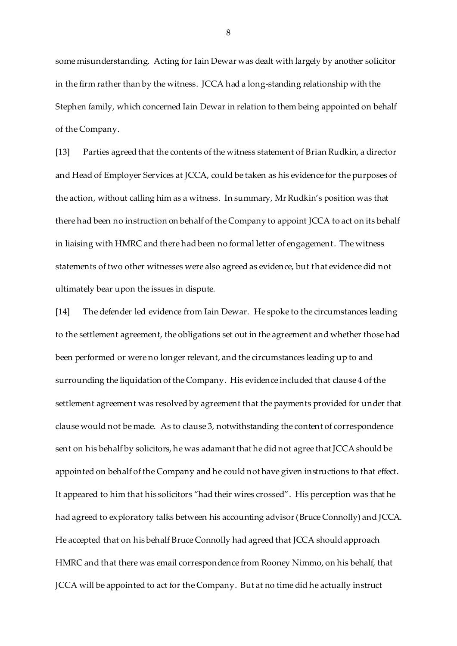some misunderstanding. Acting for Iain Dewar was dealt with largely by another solicitor in the firm rather than by the witness. JCCA had a long-standing relationship with the Stephen family, which concerned Iain Dewar in relation to them being appointed on behalf of the Company.

[13] Parties agreed that the contents of the witness statement of Brian Rudkin, a director and Head of Employer Services at JCCA, could be taken as his evidence for the purposes of the action, without calling him as a witness. In summary, Mr Rudkin's position was that there had been no instruction on behalf of the Company to appoint JCCA to act on its behalf in liaising with HMRC and there had been no formal letter of engagement. The witness statements of two other witnesses were also agreed as evidence, but that evidence did not ultimately bear upon the issues in dispute.

[14] The defender led evidence from Iain Dewar. He spoke to the circumstances leading to the settlement agreement, the obligations set out in the agreement and whether those had been performed or were no longer relevant, and the circumstances leading up to and surrounding the liquidation of the Company. His evidence included that clause 4 of the settlement agreement was resolved by agreement that the payments provided for under that clause would not be made. As to clause 3, notwithstanding the content of correspondence sent on his behalf by solicitors, he was adamant that he did not agree that JCCA should be appointed on behalf of the Company and he could not have given instructions to that effect. It appeared to him that his solicitors "had their wires crossed". His perception was that he had agreed to exploratory talks between his accounting advisor (Bruce Connolly) and JCCA. He accepted that on his behalf Bruce Connolly had agreed that JCCA should approach HMRC and that there was email correspondence from Rooney Nimmo, on his behalf, that JCCA will be appointed to act for the Company. But at no time did he actually instruct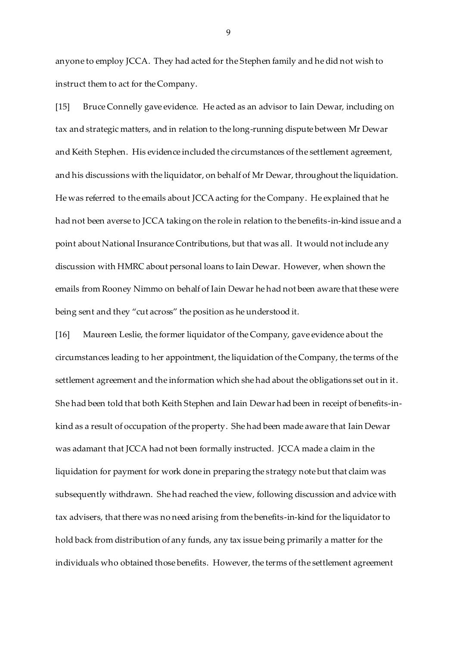anyone to employ JCCA. They had acted for the Stephen family and he did not wish to instruct them to act for the Company.

[15] Bruce Connelly gave evidence. He acted as an advisor to Iain Dewar, including on tax and strategic matters, and in relation to the long-running dispute between Mr Dewar and Keith Stephen. His evidence included the circumstances of the settlement agreement, and his discussions with the liquidator, on behalf of Mr Dewar, throughout the liquidation. He was referred to the emails about JCCA acting for the Company. He explained that he had not been averse to JCCA taking on the role in relation to the benefits-in-kind issue and a point about National Insurance Contributions, but that was all. It would not include any discussion with HMRC about personal loans to Iain Dewar. However, when shown the emails from Rooney Nimmo on behalf of Iain Dewar he had not been aware that these were being sent and they "cut across" the position as he understood it.

[16] Maureen Leslie, the former liquidator of the Company, gave evidence about the circumstances leading to her appointment, the liquidation of the Company, the terms of the settlement agreement and the information which she had about the obligations set out in it. She had been told that both Keith Stephen and Iain Dewar had been in receipt of benefits-inkind as a result of occupation of the property. She had been made aware that Iain Dewar was adamant that JCCA had not been formally instructed. JCCA made a claim in the liquidation for payment for work done in preparing the strategy note but that claim was subsequently withdrawn. She had reached the view, following discussion and advice with tax advisers, that there was no need arising from the benefits-in-kind for the liquidator to hold back from distribution of any funds, any tax issue being primarily a matter for the individuals who obtained those benefits. However, the terms of the settlement agreement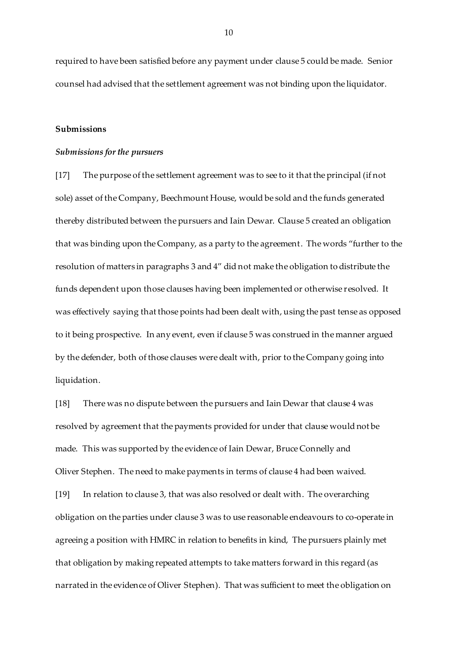required to have been satisfied before any payment under clause 5 could be made. Senior counsel had advised that the settlement agreement was not binding upon the liquidator.

#### **Submissions**

#### *Submissions for the pursuers*

[17] The purpose of the settlement agreement was to see to it that the principal (if not sole) asset of the Company, Beechmount House, would be sold and the funds generated thereby distributed between the pursuers and Iain Dewar. Clause 5 created an obligation that was binding upon the Company, as a party to the agreement. The words "further to the resolution of matters in paragraphs 3 and 4" did not make the obligation to distribute the funds dependent upon those clauses having been implemented or otherwise resolved. It was effectively saying that those points had been dealt with, using the past tense as opposed to it being prospective. In any event, even if clause 5 was construed in the manner argued by the defender, both of those clauses were dealt with, prior to the Company going into liquidation.

[18] There was no dispute between the pursuers and Iain Dewar that clause 4 was resolved by agreement that the payments provided for under that clause would not be made. This was supported by the evidence of Iain Dewar, Bruce Connelly and Oliver Stephen. The need to make payments in terms of clause 4 had been waived. [19] In relation to clause 3, that was also resolved or dealt with. The overarching obligation on the parties under clause 3 was to use reasonable endeavours to co-operate in agreeing a position with HMRC in relation to benefits in kind, The pursuers plainly met that obligation by making repeated attempts to take matters forward in this regard (as narrated in the evidence of Oliver Stephen). That was sufficient to meet the obligation on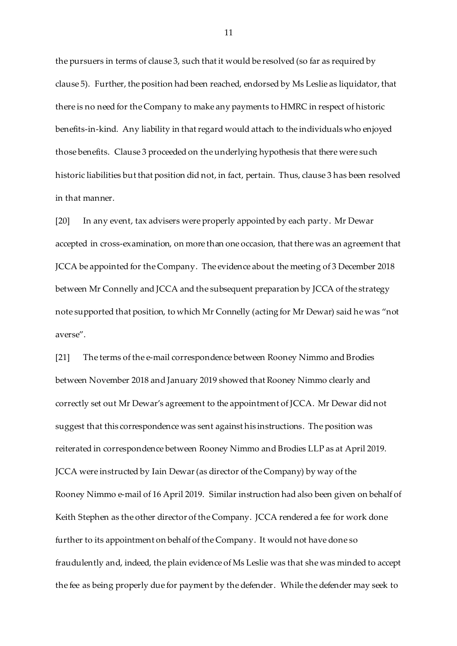the pursuers in terms of clause 3, such that it would be resolved (so far as required by clause 5). Further, the position had been reached, endorsed by Ms Leslie as liquidator, that there is no need for the Company to make any payments to HMRC in respect of historic benefits-in-kind. Any liability in that regard would attach to the individuals who enjoyed those benefits. Clause 3 proceeded on the underlying hypothesis that there were such historic liabilities but that position did not, in fact, pertain. Thus, clause 3 has been resolved in that manner.

[20] In any event, tax advisers were properly appointed by each party. Mr Dewar accepted in cross-examination, on more than one occasion, that there was an agreement that JCCA be appointed for the Company. The evidence about the meeting of 3 December 2018 between Mr Connelly and JCCA and the subsequent preparation by JCCA of the strategy note supported that position, to which Mr Connelly (acting for Mr Dewar) said he was "not averse".

[21] The terms of the e-mail correspondence between Rooney Nimmo and Brodies between November 2018 and January 2019 showed that Rooney Nimmo clearly and correctly set out Mr Dewar's agreement to the appointment of JCCA. Mr Dewar did not suggest that this correspondence was sent against his instructions. The position was reiterated in correspondence between Rooney Nimmo and Brodies LLP as at April 2019. JCCA were instructed by Iain Dewar(as director of the Company) by way of the Rooney Nimmo e-mail of 16 April 2019. Similar instruction had also been given on behalf of Keith Stephen as the other director of the Company. JCCA rendered a fee for work done further to its appointment on behalf of the Company. It would not have done so fraudulently and, indeed, the plain evidence of Ms Leslie was that she was minded to accept the fee as being properly due for payment by the defender. While the defender may seek to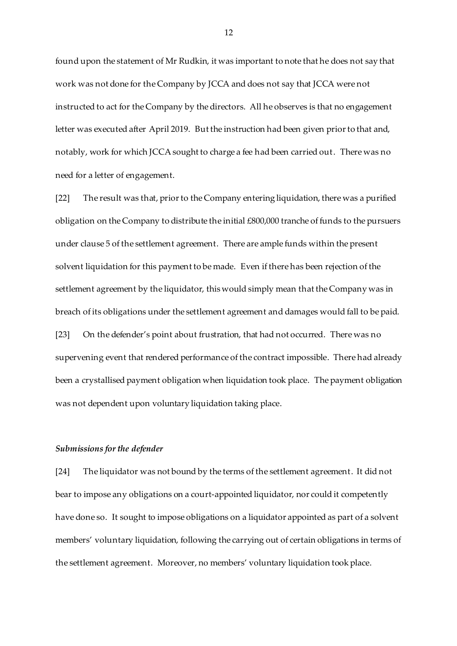found upon the statement of Mr Rudkin, it was important to note that he does not say that work was not done for the Company by JCCA and does not say that JCCA were not instructed to act for the Company by the directors. All he observes is that no engagement letter was executed after April 2019. But the instruction had been given prior to that and, notably, work for which JCCA sought to charge a fee had been carried out. There was no need for a letter of engagement.

[22] The result was that, prior to the Company entering liquidation, there was a purified obligation on the Company to distribute the initial £800,000 tranche of funds to the pursuers under clause 5 of the settlement agreement. There are ample funds within the present solvent liquidation for this payment to be made. Even if there has been rejection of the settlement agreement by the liquidator, this would simply mean that the Company was in breach of its obligations under the settlement agreement and damages would fall to be paid. [23] On the defender's point about frustration, that had not occurred. There was no supervening event that rendered performance of the contract impossible. There had already been a crystallised payment obligation when liquidation took place. The payment obligation was not dependent upon voluntary liquidation taking place.

#### *Submissions for the defender*

[24] The liquidator was not bound by the terms of the settlement agreement. It did not bear to impose any obligations on a court-appointed liquidator, nor could it competently have done so. It sought to impose obligations on a liquidator appointed as part of a solvent members' voluntary liquidation, following the carrying out of certain obligations in terms of the settlement agreement. Moreover, no members' voluntary liquidation took place.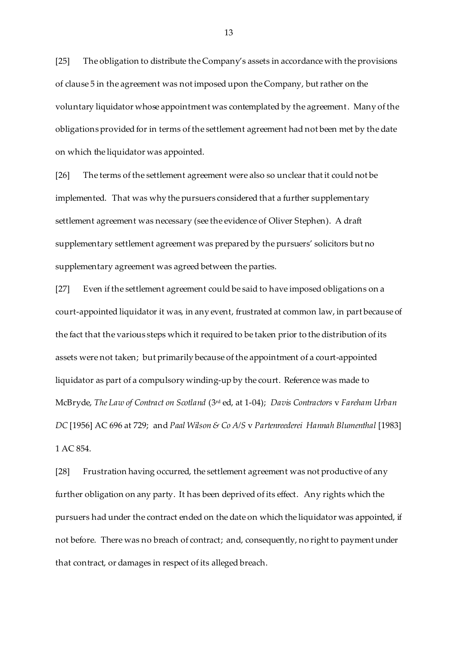[25] The obligation to distribute the Company's assets in accordance with the provisions of clause 5 in the agreement was not imposed upon the Company, but rather on the voluntary liquidator whose appointment was contemplated by the agreement. Many of the obligations provided for in terms of the settlement agreement had not been met by the date on which the liquidator was appointed.

[26] The terms of the settlement agreement were also so unclear that it could not be implemented. That was why the pursuers considered that a further supplementary settlement agreement was necessary (see the evidence of Oliver Stephen). A draft supplementary settlement agreement was prepared by the pursuers' solicitors but no supplementary agreement was agreed between the parties.

[27] Even if the settlement agreement could be said to have imposed obligations on a court-appointed liquidator it was, in any event, frustrated at common law, in part because of the fact that the various steps which it required to be taken prior to the distribution of its assets were not taken; but primarily because of the appointment of a court-appointed liquidator as part of a compulsory winding-up by the court. Reference was made to McBryde, *The Law of Contract on Scotland* (3rd ed, at 1-04); *Davis Contractors* v *Fareham Urban DC* [1956] AC 696 at 729; and *Paal Wilson & Co A/S* v *Partenreederei Hannah Blumenthal* [1983] 1 AC 854.

[28] Frustration having occurred, the settlement agreement was not productive of any further obligation on any party. It has been deprived of its effect. Any rights which the pursuers had under the contract ended on the date on which the liquidator was appointed, if not before. There was no breach of contract; and, consequently, no right to payment under that contract, or damages in respect of its alleged breach.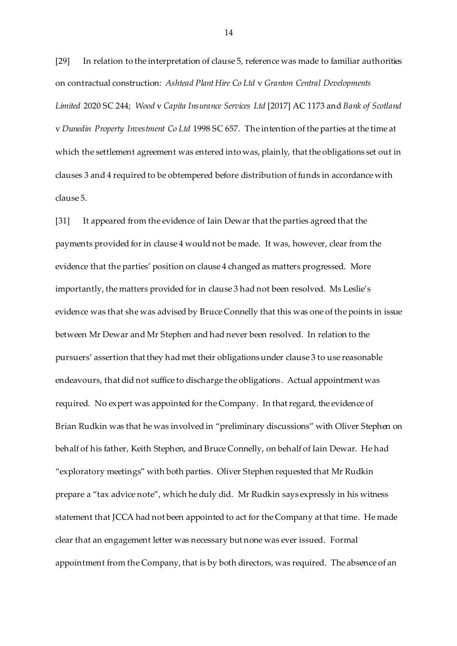[29] In relation to the interpretation of clause 5, reference was made to familiar authorities on contractual construction: *Ashtead Plant Hire Co Ltd* v *Granton Central Developments Limited* 2020 SC 244; *Wood* v *Capita Insurance Services Ltd* [2017] AC 1173 and *Bank of Scotland* v *Dunedin Property Investment Co Ltd* 1998 SC 657. The intention of the parties at the time at which the settlement agreement was entered into was, plainly, that the obligations set out in clauses 3 and 4 required to be obtempered before distribution of funds in accordance with clause 5.

[31] It appeared from the evidence of Iain Dewar that the parties agreed that the payments provided for in clause 4 would not be made. It was, however, clear from the evidence that the parties' position on clause 4 changed as matters progressed. More importantly, the matters provided for in clause 3 had not been resolved. Ms Leslie's evidence was that she was advised by Bruce Connelly that this was one of the points in issue between Mr Dewar and Mr Stephen and had never been resolved. In relation to the pursuers' assertion that they had met their obligations under clause 3 to use reasonable endeavours, that did not suffice to discharge the obligations. Actual appointment was required. No expert was appointed for the Company. In that regard, the evidence of Brian Rudkin was that he was involved in "preliminary discussions" with Oliver Stephen on behalf of his father, Keith Stephen, and Bruce Connelly, on behalf of Iain Dewar. He had "exploratory meetings" with both parties. Oliver Stephen requested that Mr Rudkin prepare a "tax advice note", which he duly did. Mr Rudkin says expressly in his witness statement that JCCA had not been appointed to act for the Company at that time. He made clear that an engagement letter was necessary but none was ever issued. Formal appointment from the Company, that is by both directors, was required. The absence of an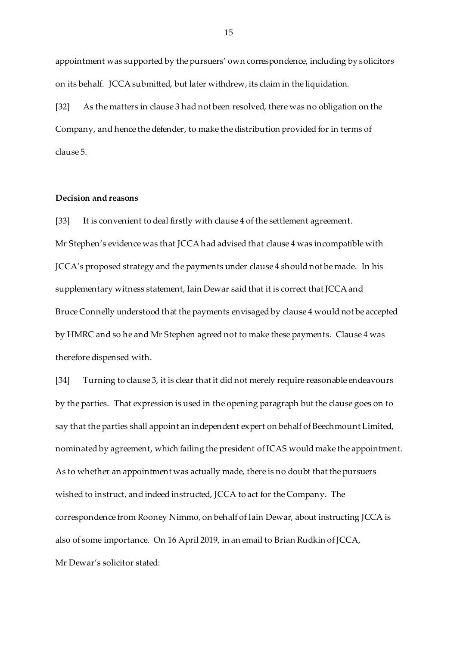appointment was supported by the pursuers' own correspondence, including by solicitors on its behalf. JCCA submitted, but later withdrew, its claim in the liquidation.

[32] As the matters in clause 3 had not been resolved, there was no obligation on the Company, and hence the defender, to make the distribution provided for in terms of clause 5.

### **Decision and reasons**

[33] It is convenient to deal firstly with clause 4 of the settlement agreement. Mr Stephen's evidence was that JCCA had advised that clause 4 was incompatible with JCCA's proposed strategy and the payments under clause 4 should not be made. In his supplementary witness statement, Iain Dewar said that it is correct that JCCA and Bruce Connelly understood that the payments envisaged by clause 4 would not be accepted by HMRC and so he and Mr Stephen agreed not to make these payments. Clause 4 was therefore dispensed with.

[34] Turning to clause 3, it is clear that it did not merely require reasonable endeavours by the parties. That expression is used in the opening paragraph but the clause goes on to say that the parties shall appoint an independent expert on behalf of Beechmount Limited, nominated by agreement, which failing the president of ICAS would make the appointment. As to whether an appointment was actually made, there is no doubt that the pursuers wished to instruct, and indeed instructed, JCCA to act for the Company. The correspondence from Rooney Nimmo, on behalf of Iain Dewar, about instructing JCCA is also of some importance. On 16 April 2019, in an email to Brian Rudkin of JCCA, Mr Dewar's solicitor stated: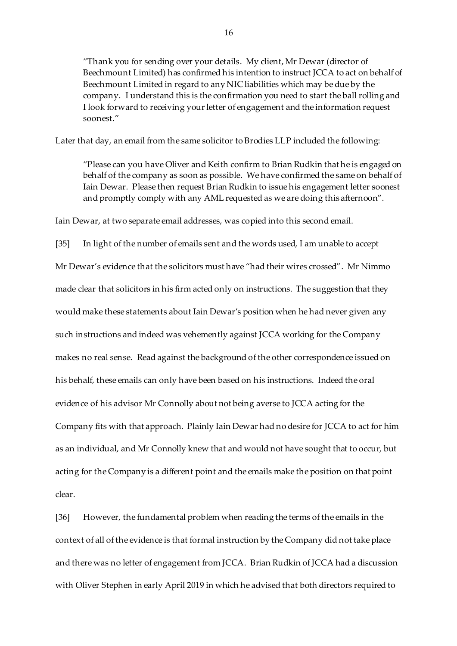"Thank you for sending over your details. My client, Mr Dewar (director of Beechmount Limited) has confirmed his intention to instruct JCCA to act on behalf of Beechmount Limited in regard to any NIC liabilities which may be due by the company. I understand this is the confirmation you need to start the ball rolling and I look forward to receiving your letter of engagement and the information request soonest."

Later that day, an email from the same solicitor to Brodies LLP included the following:

"Please can you have Oliver and Keith confirm to Brian Rudkin that he is engaged on behalf of the company as soon as possible. We have confirmed the same on behalf of Iain Dewar. Please then request Brian Rudkin to issue his engagement letter soonest and promptly comply with any AML requested as we are doing this afternoon".

Iain Dewar, at two separate email addresses, was copied into this second email.

[35] In light of the number of emails sent and the words used, I am unable to accept Mr Dewar's evidence that the solicitors must have "had their wires crossed". Mr Nimmo made clear that solicitors in his firm acted only on instructions. The suggestion that they would make these statements about Iain Dewar's position when he had never given any such instructions and indeed was vehemently against JCCA working for the Company makes no real sense. Read against the background of the other correspondence issued on his behalf, these emails can only have been based on his instructions. Indeed the oral evidence of his advisor Mr Connolly about not being averse to JCCA acting for the Company fits with that approach. Plainly Iain Dewar had no desire for JCCA to act for him as an individual, and Mr Connolly knew that and would not have sought that to occur, but acting for the Company is a different point and the emails make the position on that point clear.

[36] However, the fundamental problem when reading the terms of the emails in the context of all of the evidence is that formal instruction by the Company did not take place and there was no letter of engagement from JCCA. Brian Rudkin of JCCA had a discussion with Oliver Stephen in early April 2019 in which he advised that both directors required to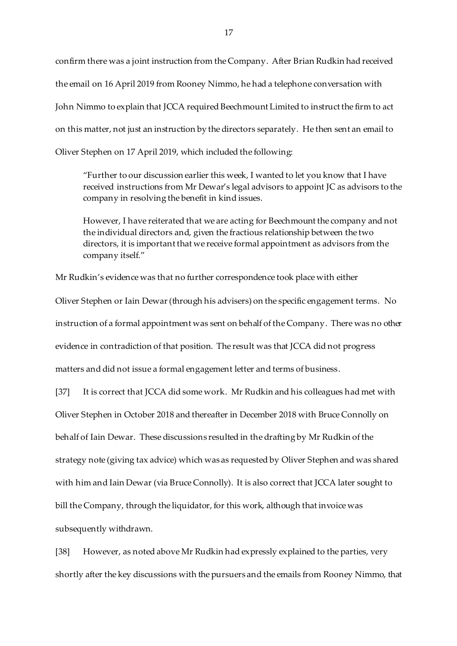confirm there was a joint instruction from the Company. After Brian Rudkin had received the email on 16 April 2019 from Rooney Nimmo, he had a telephone conversation with John Nimmo to explain that JCCA required Beechmount Limited to instruct the firm to act on this matter, not just an instruction by the directors separately. He then sent an email to Oliver Stephen on 17 April 2019, which included the following:

"Further to our discussion earlier this week, I wanted to let you know that I have received instructions from Mr Dewar's legal advisors to appoint JC as advisors to the company in resolving the benefit in kind issues.

However, I have reiterated that we are acting for Beechmount the company and not the individual directors and, given the fractious relationship between the two directors, it is important that we receive formal appointment as advisors from the company itself."

Mr Rudkin's evidence was that no further correspondence took place with either

Oliver Stephen or Iain Dewar(through his advisers) on the specific engagement terms. No instruction of a formal appointment was sent on behalf of the Company. There was no other evidence in contradiction of that position. The result was that JCCA did not progress matters and did not issue a formal engagement letter and terms of business.

[37] It is correct that JCCA did some work. Mr Rudkin and his colleagues had met with Oliver Stephen in October 2018 and thereafter in December 2018 with Bruce Connolly on behalf of Iain Dewar. These discussions resulted in the drafting by Mr Rudkin of the strategy note (giving tax advice) which was as requested by Oliver Stephen and was shared with him and Iain Dewar (via Bruce Connolly). It is also correct that JCCA later sought to bill the Company, through the liquidator, for this work, although that invoice was subsequently withdrawn.

[38] However, as noted above Mr Rudkin had expressly explained to the parties, very shortly after the key discussions with the pursuers and the emails from Rooney Nimmo, that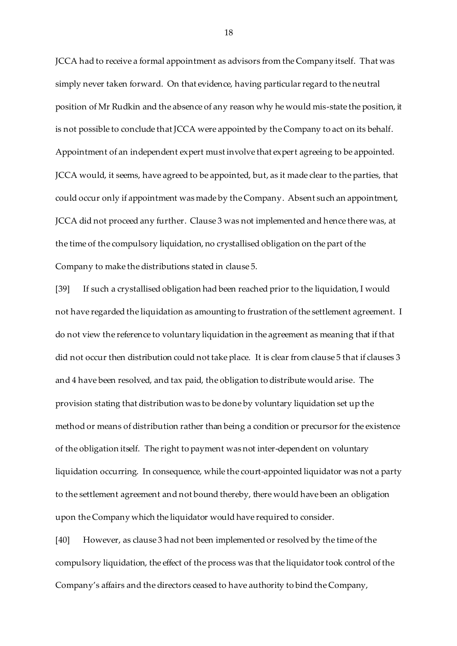JCCA had to receive a formal appointment as advisors from the Company itself. That was simply never taken forward. On that evidence, having particular regard to the neutral position of Mr Rudkin and the absence of any reason why he would mis-state the position, it is not possible to conclude that JCCA were appointed by the Company to act on its behalf. Appointment of an independent expert must involve that expert agreeing to be appointed. JCCA would, it seems, have agreed to be appointed, but, as it made clear to the parties, that could occur only if appointment was made by the Company. Absent such an appointment, JCCA did not proceed any further. Clause 3 was not implemented and hence there was, at the time of the compulsory liquidation, no crystallised obligation on the part of the Company to make the distributions stated in clause 5.

[39] If such a crystallised obligation had been reached prior to the liquidation, I would not have regarded the liquidation as amounting to frustration of the settlement agreement. I do not view the reference to voluntary liquidation in the agreement as meaning that if that did not occur then distribution could not take place. It is clear from clause 5 that if clauses 3 and 4 have been resolved, and tax paid, the obligation to distribute would arise. The provision stating that distribution was to be done by voluntary liquidation set up the method or means of distribution rather than being a condition or precursor for the existence of the obligation itself. The right to payment was not inter-dependent on voluntary liquidation occurring. In consequence, while the court-appointed liquidator was not a party to the settlement agreement and not bound thereby, there would have been an obligation upon the Company which the liquidator would have required to consider.

[40] However, as clause 3 had not been implemented or resolved by the time of the compulsory liquidation, the effect of the process was that the liquidator took control of the Company's affairs and the directors ceased to have authority to bind the Company,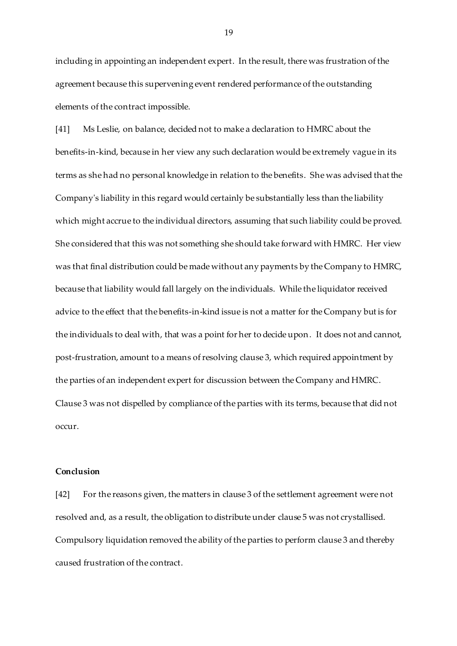including in appointing an independent expert. In the result, there was frustration of the agreement because this supervening event rendered performance of the outstanding elements of the contract impossible.

[41] Ms Leslie, on balance, decided not to make a declaration to HMRC about the benefits-in-kind, because in her view any such declaration would be extremely vague in its terms as she had no personal knowledge in relation to the benefits. She was advised that the Company's liability in this regard would certainly be substantially less than the liability which might accrue to the individual directors, assuming that such liability could be proved. She considered that this was not something she should take forward with HMRC. Her view was that final distribution could be made without any payments by the Company to HMRC, because that liability would fall largely on the individuals. While the liquidator received advice to the effect that the benefits-in-kind issue is not a matter for the Company but is for the individuals to deal with, that was a point for her to decide upon. It does not and cannot, post-frustration, amount to a means of resolving clause 3, which required appointment by the parties of an independent expert for discussion between the Company and HMRC. Clause 3 was not dispelled by compliance of the parties with its terms, because that did not occur.

#### **Conclusion**

[42] For the reasons given, the matters in clause 3 of the settlement agreement were not resolved and, as a result, the obligation to distribute under clause 5 was not crystallised. Compulsory liquidation removed the ability of the parties to perform clause 3 and thereby caused frustration of the contract.